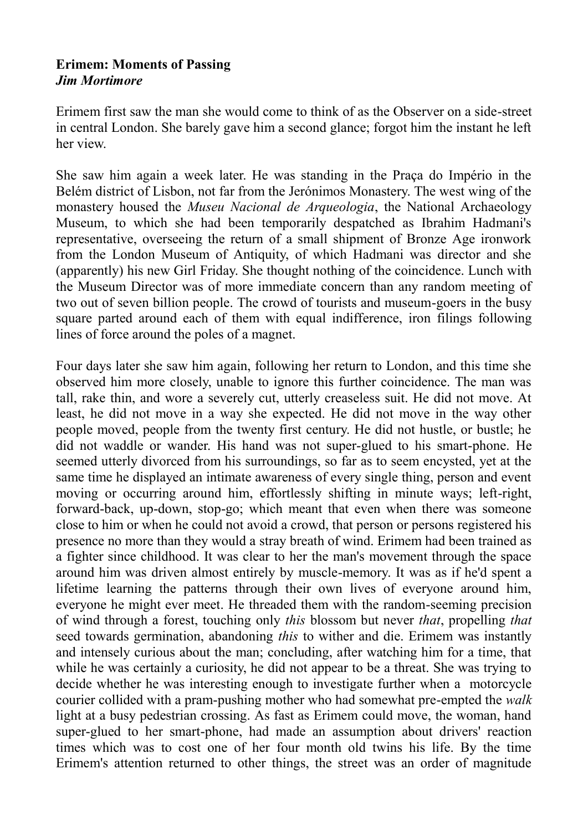## **Erimem: Moments of Passing** *Jim Mortimore*

Erimem first saw the man she would come to think of as the Observer on a side-street in central London. She barely gave him a second glance; forgot him the instant he left her view.

She saw him again a week later. He was standing in the Praça do Império in the Belém district of Lisbon, not far from the Jerónimos Monastery. The west wing of the monastery housed the *Museu Nacional de Arqueologia*, the National Archaeology Museum, to which she had been temporarily despatched as Ibrahim Hadmani's representative, overseeing the return of a small shipment of Bronze Age ironwork from the London Museum of Antiquity, of which Hadmani was director and she (apparently) his new Girl Friday. She thought nothing of the coincidence. Lunch with the Museum Director was of more immediate concern than any random meeting of two out of seven billion people. The crowd of tourists and museum-goers in the busy square parted around each of them with equal indifference, iron filings following lines of force around the poles of a magnet.

Four days later she saw him again, following her return to London, and this time she observed him more closely, unable to ignore this further coincidence. The man was tall, rake thin, and wore a severely cut, utterly creaseless suit. He did not move. At least, he did not move in a way she expected. He did not move in the way other people moved, people from the twenty first century. He did not hustle, or bustle; he did not waddle or wander. His hand was not super-glued to his smart-phone. He seemed utterly divorced from his surroundings, so far as to seem encysted, yet at the same time he displayed an intimate awareness of every single thing, person and event moving or occurring around him, effortlessly shifting in minute ways; left-right, forward-back, up-down, stop-go; which meant that even when there was someone close to him or when he could not avoid a crowd, that person or persons registered his presence no more than they would a stray breath of wind. Erimem had been trained as a fighter since childhood. It was clear to her the man's movement through the space around him was driven almost entirely by muscle-memory. It was as if he'd spent a lifetime learning the patterns through their own lives of everyone around him, everyone he might ever meet. He threaded them with the random-seeming precision of wind through a forest, touching only *this* blossom but never *that*, propelling *that* seed towards germination, abandoning *this* to wither and die. Erimem was instantly and intensely curious about the man; concluding, after watching him for a time, that while he was certainly a curiosity, he did not appear to be a threat. She was trying to decide whether he was interesting enough to investigate further when a motorcycle courier collided with a pram-pushing mother who had somewhat pre-empted the *walk* light at a busy pedestrian crossing. As fast as Erimem could move, the woman, hand super-glued to her smart-phone, had made an assumption about drivers' reaction times which was to cost one of her four month old twins his life. By the time Erimem's attention returned to other things, the street was an order of magnitude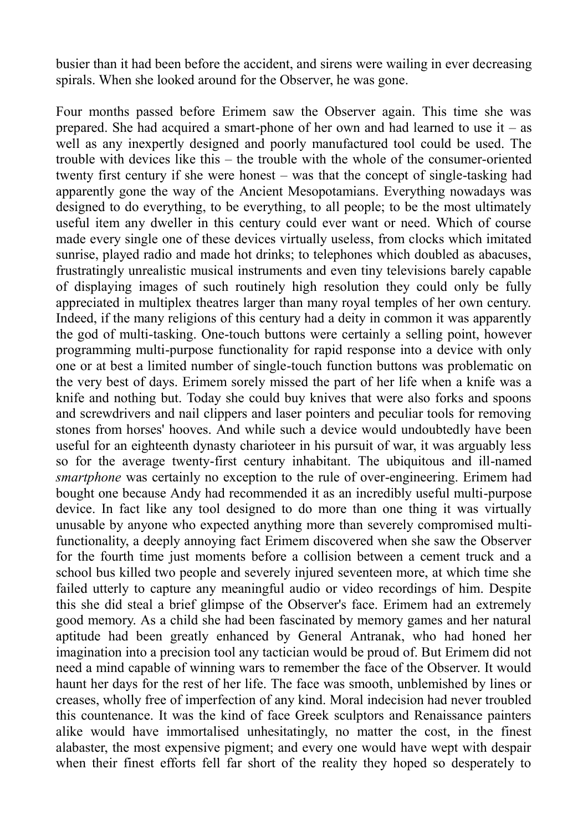busier than it had been before the accident, and sirens were wailing in ever decreasing spirals. When she looked around for the Observer, he was gone.

Four months passed before Erimem saw the Observer again. This time she was prepared. She had acquired a smart-phone of her own and had learned to use it – as well as any inexpertly designed and poorly manufactured tool could be used. The trouble with devices like this – the trouble with the whole of the consumer-oriented twenty first century if she were honest – was that the concept of single-tasking had apparently gone the way of the Ancient Mesopotamians. Everything nowadays was designed to do everything, to be everything, to all people; to be the most ultimately useful item any dweller in this century could ever want or need. Which of course made every single one of these devices virtually useless, from clocks which imitated sunrise, played radio and made hot drinks; to telephones which doubled as abacuses, frustratingly unrealistic musical instruments and even tiny televisions barely capable of displaying images of such routinely high resolution they could only be fully appreciated in multiplex theatres larger than many royal temples of her own century. Indeed, if the many religions of this century had a deity in common it was apparently the god of multi-tasking. One-touch buttons were certainly a selling point, however programming multi-purpose functionality for rapid response into a device with only one or at best a limited number of single-touch function buttons was problematic on the very best of days. Erimem sorely missed the part of her life when a knife was a knife and nothing but. Today she could buy knives that were also forks and spoons and screwdrivers and nail clippers and laser pointers and peculiar tools for removing stones from horses' hooves. And while such a device would undoubtedly have been useful for an eighteenth dynasty charioteer in his pursuit of war, it was arguably less so for the average twenty-first century inhabitant. The ubiquitous and ill-named *smartphone* was certainly no exception to the rule of over-engineering. Erimem had bought one because Andy had recommended it as an incredibly useful multi-purpose device. In fact like any tool designed to do more than one thing it was virtually unusable by anyone who expected anything more than severely compromised multifunctionality, a deeply annoying fact Erimem discovered when she saw the Observer for the fourth time just moments before a collision between a cement truck and a school bus killed two people and severely injured seventeen more, at which time she failed utterly to capture any meaningful audio or video recordings of him. Despite this she did steal a brief glimpse of the Observer's face. Erimem had an extremely good memory. As a child she had been fascinated by memory games and her natural aptitude had been greatly enhanced by General Antranak, who had honed her imagination into a precision tool any tactician would be proud of. But Erimem did not need a mind capable of winning wars to remember the face of the Observer. It would haunt her days for the rest of her life. The face was smooth, unblemished by lines or creases, wholly free of imperfection of any kind. Moral indecision had never troubled this countenance. It was the kind of face Greek sculptors and Renaissance painters alike would have immortalised unhesitatingly, no matter the cost, in the finest alabaster, the most expensive pigment; and every one would have wept with despair when their finest efforts fell far short of the reality they hoped so desperately to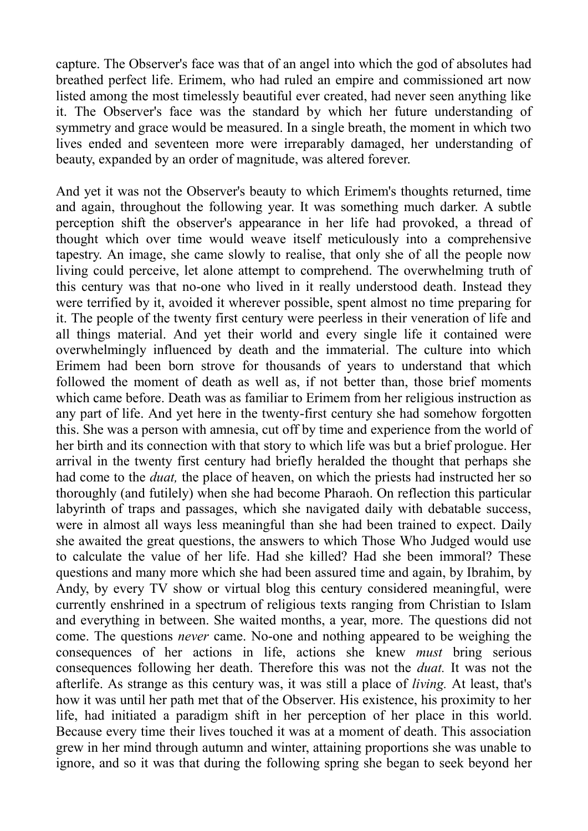capture. The Observer's face was that of an angel into which the god of absolutes had breathed perfect life. Erimem, who had ruled an empire and commissioned art now listed among the most timelessly beautiful ever created, had never seen anything like it. The Observer's face was the standard by which her future understanding of symmetry and grace would be measured. In a single breath, the moment in which two lives ended and seventeen more were irreparably damaged, her understanding of beauty, expanded by an order of magnitude, was altered forever.

And yet it was not the Observer's beauty to which Erimem's thoughts returned, time and again, throughout the following year. It was something much darker. A subtle perception shift the observer's appearance in her life had provoked, a thread of thought which over time would weave itself meticulously into a comprehensive tapestry. An image, she came slowly to realise, that only she of all the people now living could perceive, let alone attempt to comprehend. The overwhelming truth of this century was that no-one who lived in it really understood death. Instead they were terrified by it, avoided it wherever possible, spent almost no time preparing for it. The people of the twenty first century were peerless in their veneration of life and all things material. And yet their world and every single life it contained were overwhelmingly influenced by death and the immaterial. The culture into which Erimem had been born strove for thousands of years to understand that which followed the moment of death as well as, if not better than, those brief moments which came before. Death was as familiar to Erimem from her religious instruction as any part of life. And yet here in the twenty-first century she had somehow forgotten this. She was a person with amnesia, cut off by time and experience from the world of her birth and its connection with that story to which life was but a brief prologue. Her arrival in the twenty first century had briefly heralded the thought that perhaps she had come to the *duat,* the place of heaven, on which the priests had instructed her so thoroughly (and futilely) when she had become Pharaoh. On reflection this particular labyrinth of traps and passages, which she navigated daily with debatable success, were in almost all ways less meaningful than she had been trained to expect. Daily she awaited the great questions, the answers to which Those Who Judged would use to calculate the value of her life. Had she killed? Had she been immoral? These questions and many more which she had been assured time and again, by Ibrahim, by Andy, by every TV show or virtual blog this century considered meaningful, were currently enshrined in a spectrum of religious texts ranging from Christian to Islam and everything in between. She waited months, a year, more. The questions did not come. The questions *never* came. No-one and nothing appeared to be weighing the consequences of her actions in life, actions she knew *must* bring serious consequences following her death. Therefore this was not the *duat.* It was not the afterlife. As strange as this century was, it was still a place of *living.* At least, that's how it was until her path met that of the Observer. His existence, his proximity to her life, had initiated a paradigm shift in her perception of her place in this world. Because every time their lives touched it was at a moment of death. This association grew in her mind through autumn and winter, attaining proportions she was unable to ignore, and so it was that during the following spring she began to seek beyond her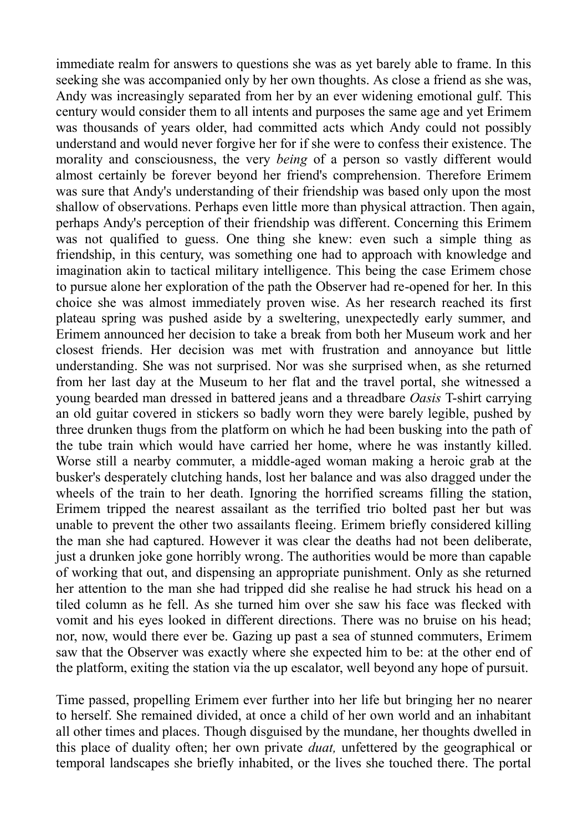immediate realm for answers to questions she was as yet barely able to frame. In this seeking she was accompanied only by her own thoughts. As close a friend as she was, Andy was increasingly separated from her by an ever widening emotional gulf. This century would consider them to all intents and purposes the same age and yet Erimem was thousands of years older, had committed acts which Andy could not possibly understand and would never forgive her for if she were to confess their existence. The morality and consciousness, the very *being* of a person so vastly different would almost certainly be forever beyond her friend's comprehension. Therefore Erimem was sure that Andy's understanding of their friendship was based only upon the most shallow of observations. Perhaps even little more than physical attraction. Then again, perhaps Andy's perception of their friendship was different. Concerning this Erimem was not qualified to guess. One thing she knew: even such a simple thing as friendship, in this century, was something one had to approach with knowledge and imagination akin to tactical military intelligence. This being the case Erimem chose to pursue alone her exploration of the path the Observer had re-opened for her. In this choice she was almost immediately proven wise. As her research reached its first plateau spring was pushed aside by a sweltering, unexpectedly early summer, and Erimem announced her decision to take a break from both her Museum work and her closest friends. Her decision was met with frustration and annoyance but little understanding. She was not surprised. Nor was she surprised when, as she returned from her last day at the Museum to her flat and the travel portal, she witnessed a young bearded man dressed in battered jeans and a threadbare *Oasis* T-shirt carrying an old guitar covered in stickers so badly worn they were barely legible, pushed by three drunken thugs from the platform on which he had been busking into the path of the tube train which would have carried her home, where he was instantly killed. Worse still a nearby commuter, a middle-aged woman making a heroic grab at the busker's desperately clutching hands, lost her balance and was also dragged under the wheels of the train to her death. Ignoring the horrified screams filling the station, Erimem tripped the nearest assailant as the terrified trio bolted past her but was unable to prevent the other two assailants fleeing. Erimem briefly considered killing the man she had captured. However it was clear the deaths had not been deliberate, just a drunken joke gone horribly wrong. The authorities would be more than capable of working that out, and dispensing an appropriate punishment. Only as she returned her attention to the man she had tripped did she realise he had struck his head on a tiled column as he fell. As she turned him over she saw his face was flecked with vomit and his eyes looked in different directions. There was no bruise on his head; nor, now, would there ever be. Gazing up past a sea of stunned commuters, Erimem saw that the Observer was exactly where she expected him to be: at the other end of the platform, exiting the station via the up escalator, well beyond any hope of pursuit.

Time passed, propelling Erimem ever further into her life but bringing her no nearer to herself. She remained divided, at once a child of her own world and an inhabitant all other times and places. Though disguised by the mundane, her thoughts dwelled in this place of duality often; her own private *duat,* unfettered by the geographical or temporal landscapes she briefly inhabited, or the lives she touched there. The portal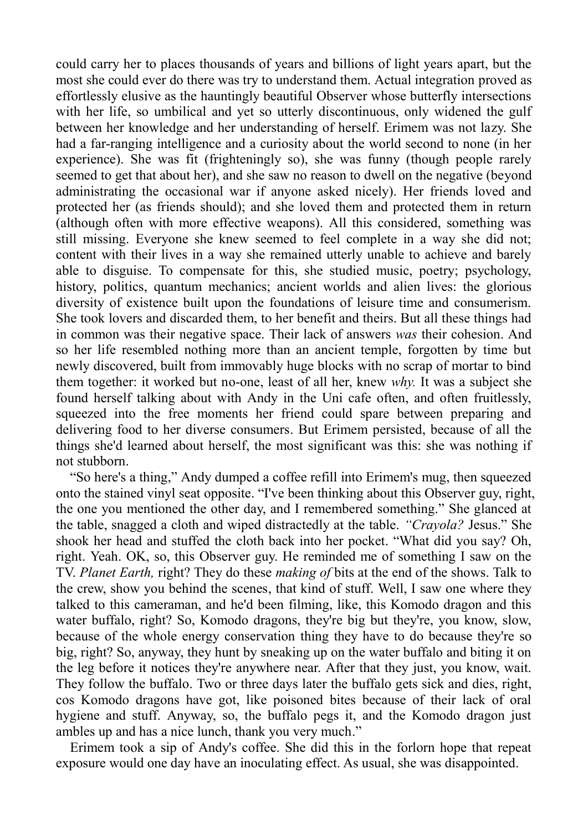could carry her to places thousands of years and billions of light years apart, but the most she could ever do there was try to understand them. Actual integration proved as effortlessly elusive as the hauntingly beautiful Observer whose butterfly intersections with her life, so umbilical and yet so utterly discontinuous, only widened the gulf between her knowledge and her understanding of herself. Erimem was not lazy. She had a far-ranging intelligence and a curiosity about the world second to none (in her experience). She was fit (frighteningly so), she was funny (though people rarely seemed to get that about her), and she saw no reason to dwell on the negative (beyond administrating the occasional war if anyone asked nicely). Her friends loved and protected her (as friends should); and she loved them and protected them in return (although often with more effective weapons). All this considered, something was still missing. Everyone she knew seemed to feel complete in a way she did not; content with their lives in a way she remained utterly unable to achieve and barely able to disguise. To compensate for this, she studied music, poetry; psychology, history, politics, quantum mechanics; ancient worlds and alien lives: the glorious diversity of existence built upon the foundations of leisure time and consumerism. She took lovers and discarded them, to her benefit and theirs. But all these things had in common was their negative space. Their lack of answers *was* their cohesion. And so her life resembled nothing more than an ancient temple, forgotten by time but newly discovered, built from immovably huge blocks with no scrap of mortar to bind them together: it worked but no-one, least of all her, knew *why.* It was a subject she found herself talking about with Andy in the Uni cafe often, and often fruitlessly, squeezed into the free moments her friend could spare between preparing and delivering food to her diverse consumers. But Erimem persisted, because of all the things she'd learned about herself, the most significant was this: she was nothing if not stubborn.

"So here's a thing," Andy dumped a coffee refill into Erimem's mug, then squeezed onto the stained vinyl seat opposite. "I've been thinking about this Observer guy, right, the one you mentioned the other day, and I remembered something." She glanced at the table, snagged a cloth and wiped distractedly at the table. *"Crayola?* Jesus." She shook her head and stuffed the cloth back into her pocket. "What did you say? Oh, right. Yeah. OK, so, this Observer guy. He reminded me of something I saw on the TV. *Planet Earth,* right? They do these *making of* bits at the end of the shows. Talk to the crew, show you behind the scenes, that kind of stuff. Well, I saw one where they talked to this cameraman, and he'd been filming, like, this Komodo dragon and this water buffalo, right? So, Komodo dragons, they're big but they're, you know, slow, because of the whole energy conservation thing they have to do because they're so big, right? So, anyway, they hunt by sneaking up on the water buffalo and biting it on the leg before it notices they're anywhere near. After that they just, you know, wait. They follow the buffalo. Two or three days later the buffalo gets sick and dies, right, cos Komodo dragons have got, like poisoned bites because of their lack of oral hygiene and stuff. Anyway, so, the buffalo pegs it, and the Komodo dragon just ambles up and has a nice lunch, thank you very much."

Erimem took a sip of Andy's coffee. She did this in the forlorn hope that repeat exposure would one day have an inoculating effect. As usual, she was disappointed.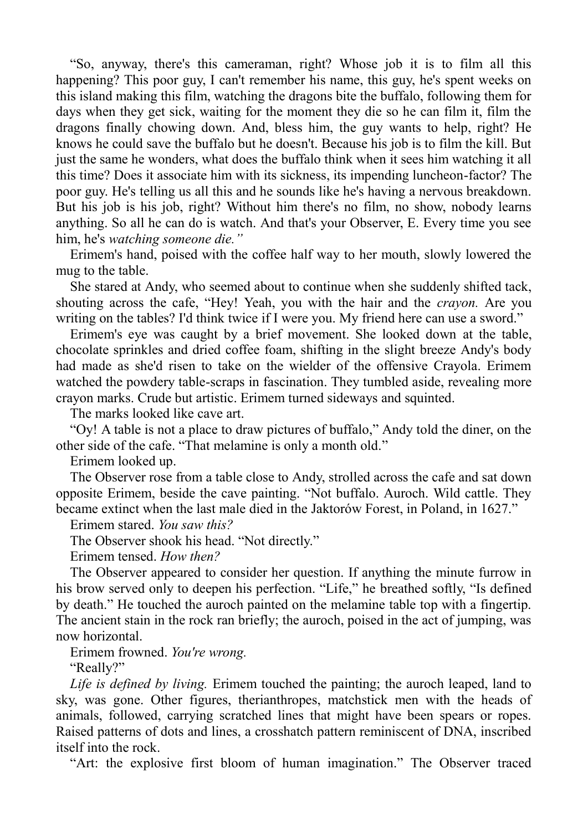"So, anyway, there's this cameraman, right? Whose job it is to film all this happening? This poor guy, I can't remember his name, this guy, he's spent weeks on this island making this film, watching the dragons bite the buffalo, following them for days when they get sick, waiting for the moment they die so he can film it, film the dragons finally chowing down. And, bless him, the guy wants to help, right? He knows he could save the buffalo but he doesn't. Because his job is to film the kill. But just the same he wonders, what does the buffalo think when it sees him watching it all this time? Does it associate him with its sickness, its impending luncheon-factor? The poor guy. He's telling us all this and he sounds like he's having a nervous breakdown. But his job is his job, right? Without him there's no film, no show, nobody learns anything. So all he can do is watch. And that's your Observer, E. Every time you see him, he's *watching someone die."*

Erimem's hand, poised with the coffee half way to her mouth, slowly lowered the mug to the table.

She stared at Andy, who seemed about to continue when she suddenly shifted tack, shouting across the cafe, "Hey! Yeah, you with the hair and the *crayon.* Are you writing on the tables? I'd think twice if I were you. My friend here can use a sword."

Erimem's eye was caught by a brief movement. She looked down at the table, chocolate sprinkles and dried coffee foam, shifting in the slight breeze Andy's body had made as she'd risen to take on the wielder of the offensive Crayola. Erimem watched the powdery table-scraps in fascination. They tumbled aside, revealing more crayon marks. Crude but artistic. Erimem turned sideways and squinted.

The marks looked like cave art.

"Oy! A table is not a place to draw pictures of buffalo," Andy told the diner, on the other side of the cafe. "That melamine is only a month old."

Erimem looked up.

The Observer rose from a table close to Andy, strolled across the cafe and sat down opposite Erimem, beside the cave painting. "Not buffalo. Auroch. Wild cattle. They became extinct when the last male died in the Jaktorów Forest, in Poland, in 1627."

Erimem stared. *You saw this?*

The Observer shook his head. "Not directly."

Erimem tensed. *How then?*

The Observer appeared to consider her question. If anything the minute furrow in his brow served only to deepen his perfection. "Life," he breathed softly, "Is defined by death." He touched the auroch painted on the melamine table top with a fingertip. The ancient stain in the rock ran briefly; the auroch, poised in the act of jumping, was now horizontal.

Erimem frowned. *You're wrong.*

"Really?"

*Life is defined by living.* Erimem touched the painting; the auroch leaped, land to sky, was gone. Other figures, therianthropes, matchstick men with the heads of animals, followed, carrying scratched lines that might have been spears or ropes. Raised patterns of dots and lines, a crosshatch pattern reminiscent of DNA, inscribed itself into the rock.

"Art: the explosive first bloom of human imagination." The Observer traced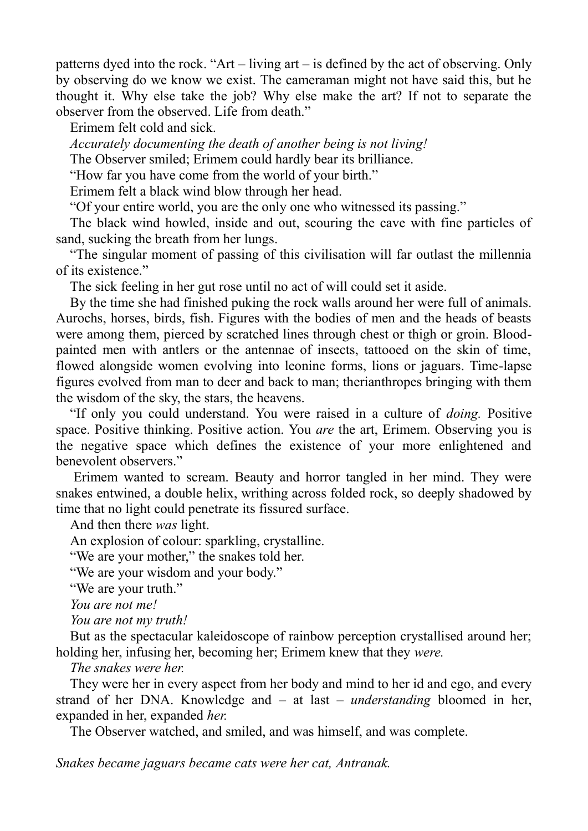patterns dyed into the rock. "Art – living art – is defined by the act of observing. Only by observing do we know we exist. The cameraman might not have said this, but he thought it. Why else take the job? Why else make the art? If not to separate the observer from the observed. Life from death."

Erimem felt cold and sick.

*Accurately documenting the death of another being is not living!* The Observer smiled; Erimem could hardly bear its brilliance.

"How far you have come from the world of your birth."

Erimem felt a black wind blow through her head.

"Of your entire world, you are the only one who witnessed its passing."

The black wind howled, inside and out, scouring the cave with fine particles of sand, sucking the breath from her lungs.

"The singular moment of passing of this civilisation will far outlast the millennia of its existence."

The sick feeling in her gut rose until no act of will could set it aside.

By the time she had finished puking the rock walls around her were full of animals. Aurochs, horses, birds, fish. Figures with the bodies of men and the heads of beasts were among them, pierced by scratched lines through chest or thigh or groin. Bloodpainted men with antlers or the antennae of insects, tattooed on the skin of time, flowed alongside women evolving into leonine forms, lions or jaguars. Time-lapse figures evolved from man to deer and back to man; therianthropes bringing with them the wisdom of the sky, the stars, the heavens.

"If only you could understand. You were raised in a culture of *doing.* Positive space. Positive thinking. Positive action. You *are* the art, Erimem. Observing you is the negative space which defines the existence of your more enlightened and benevolent observers."

Erimem wanted to scream. Beauty and horror tangled in her mind. They were snakes entwined, a double helix, writhing across folded rock, so deeply shadowed by time that no light could penetrate its fissured surface.

And then there *was* light.

An explosion of colour: sparkling, crystalline.

"We are your mother," the snakes told her.

"We are your wisdom and your body."

"We are your truth."

*You are not me!*

*You are not my truth!*

But as the spectacular kaleidoscope of rainbow perception crystallised around her; holding her, infusing her, becoming her; Erimem knew that they *were.*

*The snakes were her.*

They were her in every aspect from her body and mind to her id and ego, and every strand of her DNA. Knowledge and – at last – *understanding* bloomed in her, expanded in her, expanded *her.*

The Observer watched, and smiled, and was himself, and was complete.

*Snakes became jaguars became cats were her cat, Antranak.*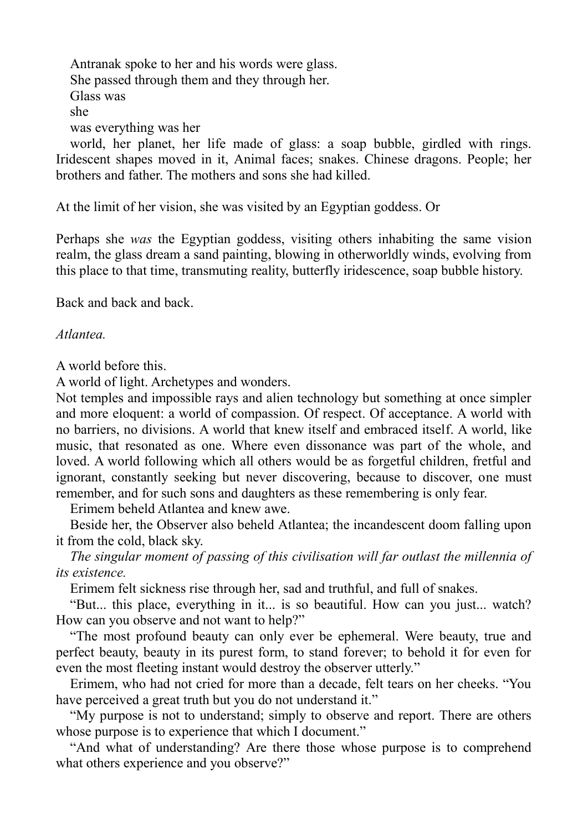Antranak spoke to her and his words were glass. She passed through them and they through her. Glass was she was everything was her

world, her planet, her life made of glass: a soap bubble, girdled with rings. Iridescent shapes moved in it, Animal faces; snakes. Chinese dragons. People; her brothers and father. The mothers and sons she had killed.

At the limit of her vision, she was visited by an Egyptian goddess. Or

Perhaps she *was* the Egyptian goddess, visiting others inhabiting the same vision realm, the glass dream a sand painting, blowing in otherworldly winds, evolving from this place to that time, transmuting reality, butterfly iridescence, soap bubble history.

Back and back and back.

## *Atlantea.*

A world before this.

A world of light. Archetypes and wonders.

Not temples and impossible rays and alien technology but something at once simpler and more eloquent: a world of compassion. Of respect. Of acceptance. A world with no barriers, no divisions. A world that knew itself and embraced itself. A world, like music, that resonated as one. Where even dissonance was part of the whole, and loved. A world following which all others would be as forgetful children, fretful and ignorant, constantly seeking but never discovering, because to discover, one must remember, and for such sons and daughters as these remembering is only fear.

Erimem beheld Atlantea and knew awe.

Beside her, the Observer also beheld Atlantea; the incandescent doom falling upon it from the cold, black sky.

*The singular moment of passing of this civilisation will far outlast the millennia of its existence.*

Erimem felt sickness rise through her, sad and truthful, and full of snakes.

"But... this place, everything in it... is so beautiful. How can you just... watch? How can you observe and not want to help?"

"The most profound beauty can only ever be ephemeral. Were beauty, true and perfect beauty, beauty in its purest form, to stand forever; to behold it for even for even the most fleeting instant would destroy the observer utterly."

Erimem, who had not cried for more than a decade, felt tears on her cheeks. "You have perceived a great truth but you do not understand it."

"My purpose is not to understand; simply to observe and report. There are others whose purpose is to experience that which I document."

"And what of understanding? Are there those whose purpose is to comprehend what others experience and you observe?"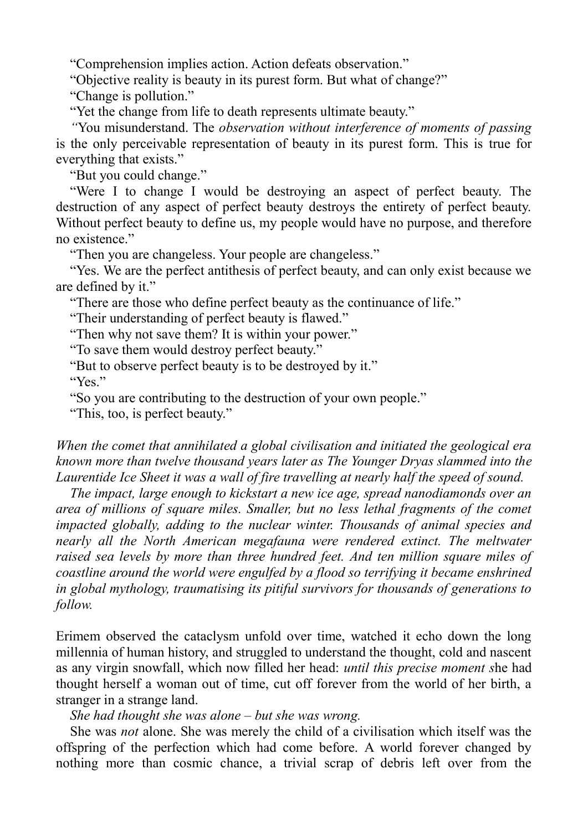"Comprehension implies action. Action defeats observation."

"Objective reality is beauty in its purest form. But what of change?"

"Change is pollution."

"Yet the change from life to death represents ultimate beauty."

*"*You misunderstand. The *observation without interference of moments of passing*  is the only perceivable representation of beauty in its purest form. This is true for everything that exists."

"But you could change."

"Were I to change I would be destroying an aspect of perfect beauty. The destruction of any aspect of perfect beauty destroys the entirety of perfect beauty. Without perfect beauty to define us, my people would have no purpose, and therefore no existence."

"Then you are changeless. Your people are changeless."

"Yes. We are the perfect antithesis of perfect beauty, and can only exist because we are defined by it."

"There are those who define perfect beauty as the continuance of life."

"Their understanding of perfect beauty is flawed."

"Then why not save them? It is within your power."

"To save them would destroy perfect beauty."

"But to observe perfect beauty is to be destroyed by it."

"Yes."

"So you are contributing to the destruction of your own people."

"This, too, is perfect beauty."

## *When the comet that annihilated a global civilisation and initiated the geological era known more than twelve thousand years later as The Younger Dryas slammed into the Laurentide Ice Sheet it was a wall of fire travelling at nearly half the speed of sound.*

*The impact, large enough to kickstart a new ice age, spread nanodiamonds over an area of millions of square miles. Smaller, but no less lethal fragments of the comet impacted globally, adding to the nuclear winter. Thousands of animal species and nearly all the North American megafauna were rendered extinct. The meltwater raised sea levels by more than three hundred feet. And ten million square miles of coastline around the world were engulfed by a flood so terrifying it became enshrined in global mythology, traumatising its pitiful survivors for thousands of generations to follow.*

Erimem observed the cataclysm unfold over time, watched it echo down the long millennia of human history, and struggled to understand the thought, cold and nascent as any virgin snowfall, which now filled her head: *until this precise moment s*he had thought herself a woman out of time, cut off forever from the world of her birth, a stranger in a strange land.

*She had thought she was alone – but she was wrong.*

She was *not* alone. She was merely the child of a civilisation which itself was the offspring of the perfection which had come before. A world forever changed by nothing more than cosmic chance, a trivial scrap of debris left over from the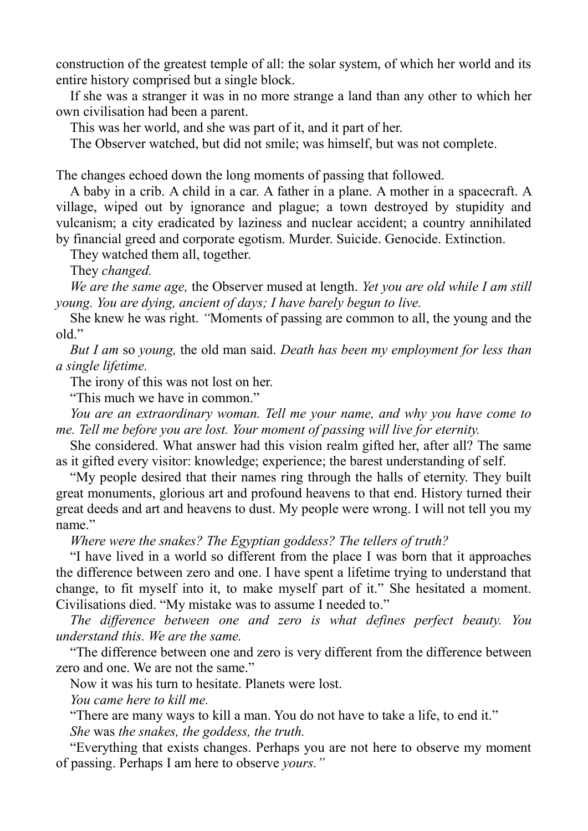construction of the greatest temple of all: the solar system, of which her world and its entire history comprised but a single block.

If she was a stranger it was in no more strange a land than any other to which her own civilisation had been a parent.

This was her world, and she was part of it, and it part of her.

The Observer watched, but did not smile; was himself, but was not complete.

The changes echoed down the long moments of passing that followed.

A baby in a crib. A child in a car. A father in a plane. A mother in a spacecraft. A village, wiped out by ignorance and plague; a town destroyed by stupidity and vulcanism; a city eradicated by laziness and nuclear accident; a country annihilated by financial greed and corporate egotism. Murder. Suicide. Genocide. Extinction.

They watched them all, together.

They *changed.*

*We are the same age,* the Observer mused at length. *Yet you are old while I am still young. You are dying, ancient of days; I have barely begun to live.*

She knew he was right. *"*Moments of passing are common to all, the young and the old."

*But I am* so *young,* the old man said. *Death has been my employment for less than a single lifetime.*

The irony of this was not lost on her.

"This much we have in common."

*You are an extraordinary woman. Tell me your name, and why you have come to me. Tell me before you are lost. Your moment of passing will live for eternity.*

She considered. What answer had this vision realm gifted her, after all? The same as it gifted every visitor: knowledge; experience; the barest understanding of self.

"My people desired that their names ring through the halls of eternity. They built great monuments, glorious art and profound heavens to that end. History turned their great deeds and art and heavens to dust. My people were wrong. I will not tell you my name"

*Where were the snakes? The Egyptian goddess? The tellers of truth?*

"I have lived in a world so different from the place I was born that it approaches the difference between zero and one. I have spent a lifetime trying to understand that change, to fit myself into it, to make myself part of it." She hesitated a moment. Civilisations died. "My mistake was to assume I needed to."

*The difference between one and zero is what defines perfect beauty. You understand this. We are the same.*

"The difference between one and zero is very different from the difference between zero and one. We are not the same."

Now it was his turn to hesitate. Planets were lost.

*You came here to kill me.*

"There are many ways to kill a man. You do not have to take a life, to end it."

*She* was *the snakes, the goddess, the truth.*

"Everything that exists changes. Perhaps you are not here to observe my moment of passing. Perhaps I am here to observe *yours."*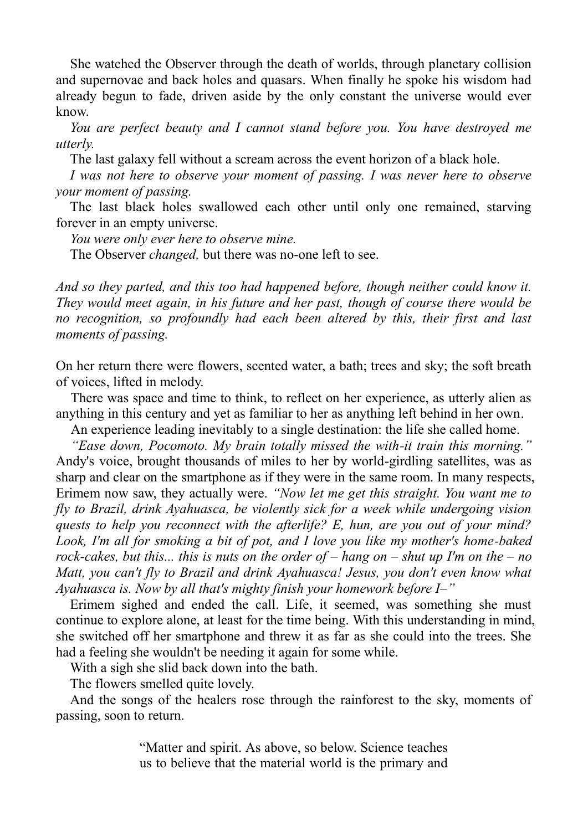She watched the Observer through the death of worlds, through planetary collision and supernovae and back holes and quasars. When finally he spoke his wisdom had already begun to fade, driven aside by the only constant the universe would ever know.

*You are perfect beauty and I cannot stand before you. You have destroyed me utterly.*

The last galaxy fell without a scream across the event horizon of a black hole.

*I* was not here to observe your moment of passing. *I* was never here to observe *your moment of passing.*

The last black holes swallowed each other until only one remained, starving forever in an empty universe.

*You were only ever here to observe mine.*

The Observer *changed,* but there was no-one left to see.

*And so they parted, and this too had happened before, though neither could know it. They would meet again, in his future and her past, though of course there would be no recognition, so profoundly had each been altered by this, their first and last moments of passing.*

On her return there were flowers, scented water, a bath; trees and sky; the soft breath of voices, lifted in melody.

There was space and time to think, to reflect on her experience, as utterly alien as anything in this century and yet as familiar to her as anything left behind in her own.

An experience leading inevitably to a single destination: the life she called home.

*"Ease down, Pocomoto. My brain totally missed the with-it train this morning."*  Andy's voice, brought thousands of miles to her by world-girdling satellites, was as sharp and clear on the smartphone as if they were in the same room. In many respects, Erimem now saw, they actually were. *"Now let me get this straight. You want me to fly to Brazil, drink Ayahuasca, be violently sick for a week while undergoing vision quests to help you reconnect with the afterlife? E, hun, are you out of your mind? Look, I'm all for smoking a bit of pot, and I love you like my mother's home-baked rock-cakes, but this... this is nuts on the order of – hang on – shut up I'm on the – no Matt, you can't fly to Brazil and drink Ayahuasca! Jesus, you don't even know what Ayahuasca is. Now by all that's mighty finish your homework before I–"*

Erimem sighed and ended the call. Life, it seemed, was something she must continue to explore alone, at least for the time being. With this understanding in mind, she switched off her smartphone and threw it as far as she could into the trees. She had a feeling she wouldn't be needing it again for some while.

With a sigh she slid back down into the bath.

The flowers smelled quite lovely.

And the songs of the healers rose through the rainforest to the sky, moments of passing, soon to return.

> "Matter and spirit. As above, so below. Science teaches us to believe that the material world is the primary and